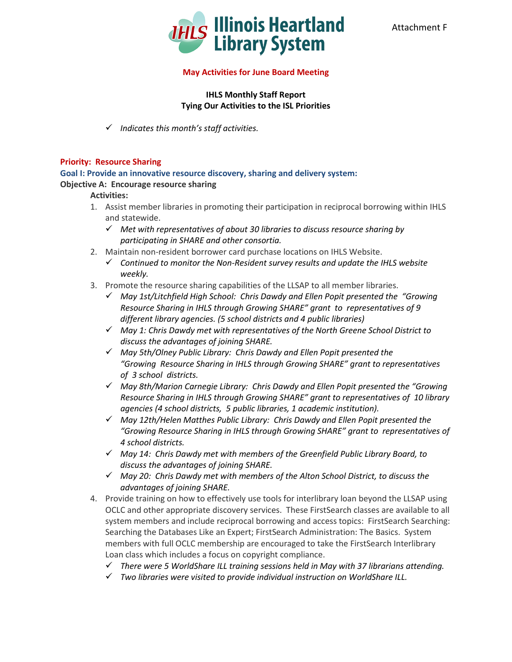

## **May Activities for June Board Meeting**

## **IHLS Monthly Staff Report Tying Our Activities to the ISL Priorities**

*Indicates this month's staff activities.*

## **Priority: Resource Sharing**

**Goal I: Provide an innovative resource discovery, sharing and delivery system: Objective A: Encourage resource sharing**

## **Activities:**

- 1. Assist member libraries in promoting their participation in reciprocal borrowing within IHLS and statewide.
	- *Met with representatives of about 30 libraries to discuss resource sharing by participating in SHARE and other consortia.*
- 2. Maintain non-resident borrower card purchase locations on IHLS Website.
	- *Continued to monitor the Non-Resident survey results and update the IHLS website weekly.*
- 3. Promote the resource sharing capabilities of the LLSAP to all member libraries.
	- *May 1st/Litchfield High School: Chris Dawdy and Ellen Popit presented the "Growing Resource Sharing in IHLS through Growing SHARE" grant to representatives of 9 different library agencies. (5 school districts and 4 public libraries)*
	- *May 1: Chris Dawdy met with representatives of the North Greene School District to discuss the advantages of joining SHARE.*
	- *May 5th/Olney Public Library: Chris Dawdy and Ellen Popit presented the "Growing Resource Sharing in IHLS through Growing SHARE" grant to representatives of 3 school districts.*
	- *May 8th/Marion Carnegie Library: Chris Dawdy and Ellen Popit presented the "Growing Resource Sharing in IHLS through Growing SHARE" grant to representatives of 10 library agencies (4 school districts, 5 public libraries, 1 academic institution).*
	- *May 12th/Helen Matthes Public Library: Chris Dawdy and Ellen Popit presented the "Growing Resource Sharing in IHLS through Growing SHARE" grant to representatives of 4 school districts.*
	- *May 14: Chris Dawdy met with members of the Greenfield Public Library Board, to discuss the advantages of joining SHARE.*
	- *May 20: Chris Dawdy met with members of the Alton School District, to discuss the advantages of joining SHARE.*
- 4. Provide training on how to effectively use tools for interlibrary loan beyond the LLSAP using OCLC and other appropriate discovery services. These FirstSearch classes are available to all system members and include reciprocal borrowing and access topics: FirstSearch Searching: Searching the Databases Like an Expert; FirstSearch Administration: The Basics. System members with full OCLC membership are encouraged to take the FirstSearch Interlibrary Loan class which includes a focus on copyright compliance.
	- *There were 5 WorldShare ILL training sessions held in May with 37 librarians attending.*
	- *Two libraries were visited to provide individual instruction on WorldShare ILL.*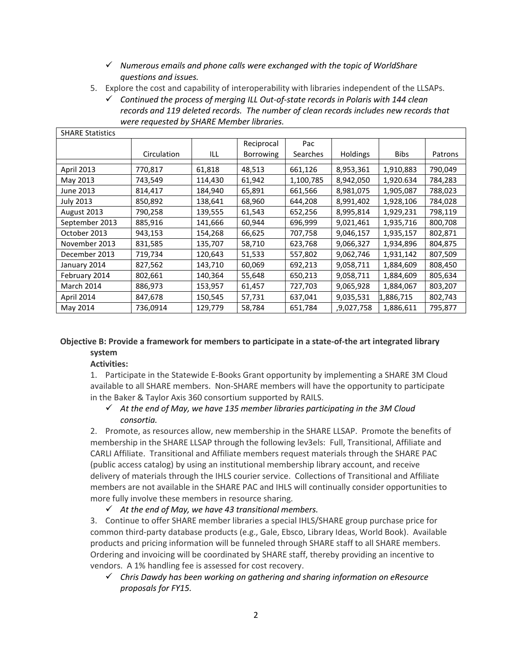- *Numerous emails and phone calls were exchanged with the topic of WorldShare questions and issues.*
- 5. Explore the cost and capability of interoperability with libraries independent of the LLSAPs.
	- *Continued the process of merging ILL Out-of-state records in Polaris with 144 clean records and 119 deleted records. The number of clean records includes new records that were requested by SHARE Member libraries.*

| <b>SHARE Statistics</b> |             |         |                  |           |                 |             |         |  |
|-------------------------|-------------|---------|------------------|-----------|-----------------|-------------|---------|--|
|                         |             |         | Reciprocal       | Pac       |                 |             |         |  |
|                         | Circulation | ILL     | <b>Borrowing</b> | Searches  | <b>Holdings</b> | <b>Bibs</b> | Patrons |  |
|                         |             |         |                  |           |                 |             |         |  |
| April 2013              | 770,817     | 61,818  | 48,513           | 661,126   | 8,953,361       | 1,910,883   | 790,049 |  |
| May 2013                | 743,549     | 114,430 | 61,942           | 1,100,785 | 8,942,050       | 1,920.634   | 784,283 |  |
| June 2013               | 814,417     | 184,940 | 65,891           | 661,566   | 8,981,075       | 1,905,087   | 788,023 |  |
| <b>July 2013</b>        | 850,892     | 138,641 | 68,960           | 644,208   | 8,991,402       | 1,928,106   | 784,028 |  |
| August 2013             | 790,258     | 139,555 | 61,543           | 652,256   | 8,995,814       | 1,929,231   | 798,119 |  |
| September 2013          | 885,916     | 141,666 | 60,944           | 696,999   | 9,021,461       | 1,935,716   | 800,708 |  |
| October 2013            | 943,153     | 154,268 | 66,625           | 707,758   | 9,046,157       | 1,935,157   | 802,871 |  |
| November 2013           | 831,585     | 135,707 | 58,710           | 623,768   | 9,066,327       | 1,934,896   | 804,875 |  |
| December 2013           | 719,734     | 120,643 | 51,533           | 557,802   | 9,062,746       | 1,931,142   | 807,509 |  |
| January 2014            | 827,562     | 143,710 | 60,069           | 692,213   | 9,058,711       | 1,884,609   | 808,450 |  |
| February 2014           | 802,661     | 140,364 | 55,648           | 650,213   | 9,058,711       | 1,884,609   | 805,634 |  |
| March 2014              | 886,973     | 153,957 | 61,457           | 727,703   | 9,065,928       | 1,884,067   | 803,207 |  |
| April 2014              | 847,678     | 150,545 | 57,731           | 637,041   | 9,035,531       | 1,886,715   | 802,743 |  |
| May 2014                | 736,0914    | 129,779 | 58,784           | 651,784   | ,9,027,758      | 1,886,611   | 795,877 |  |

## **Objective B: Provide a framework for members to participate in a state-of-the art integrated library system**

# **Activities:**

1. Participate in the Statewide E-Books Grant opportunity by implementing a SHARE 3M Cloud available to all SHARE members. Non-SHARE members will have the opportunity to participate in the Baker & Taylor Axis 360 consortium supported by RAILS.

# *At the end of May, we have 135 member libraries participating in the 3M Cloud consortia.*

2. Promote, as resources allow, new membership in the SHARE LLSAP. Promote the benefits of membership in the SHARE LLSAP through the following lev3els: Full, Transitional, Affiliate and CARLI Affiliate. Transitional and Affiliate members request materials through the SHARE PAC (public access catalog) by using an institutional membership library account, and receive delivery of materials through the IHLS courier service. Collections of Transitional and Affiliate members are not available in the SHARE PAC and IHLS will continually consider opportunities to more fully involve these members in resource sharing.

*At the end of May, we have 43 transitional members.*

3. Continue to offer SHARE member libraries a special IHLS/SHARE group purchase price for common third-party database products (e.g., Gale, Ebsco, Library Ideas, World Book). Available products and pricing information will be funneled through SHARE staff to all SHARE members. Ordering and invoicing will be coordinated by SHARE staff, thereby providing an incentive to vendors. A 1% handling fee is assessed for cost recovery.

 *Chris Dawdy has been working on gathering and sharing information on eResource proposals for FY15.*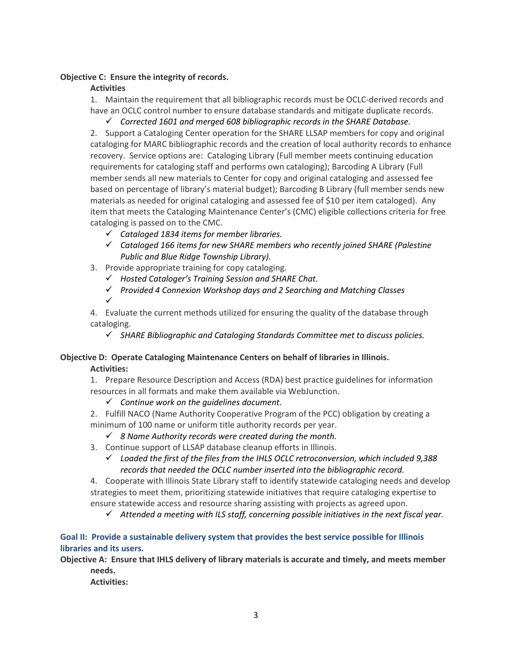## **Objective C: Ensure the integrity of records.**

## **Activities**

1. Maintain the requirement that all bibliographic records must be OCLC-derived records and have an OCLC control number to ensure database standards and mitigate duplicate records.

*Corrected 1601 and merged 608 bibliographic records in the SHARE Database.*

2. Support a Cataloging Center operation for the SHARE LLSAP members for copy and original cataloging for MARC bibliographic records and the creation of local authority records to enhance recovery. Service options are: Cataloging Library (Full member meets continuing education requirements for cataloging staff and performs own cataloging); Barcoding A Library (Full member sends all new materials to Center for copy and original cataloging and assessed fee based on percentage of library's material budget); Barcoding B Library (full member sends new materials as needed for original cataloging and assessed fee of \$10 per item cataloged). Any item that meets the Cataloging Maintenance Center's (CMC) eligible collections criteria for free cataloging is passed on to the CMC.

- *Cataloged 1834 items for member libraries.*
- *Cataloged 166 items for new SHARE members who recently joined SHARE (Palestine Public and Blue Ridge Township Library).*
- 3. Provide appropriate training for copy cataloging.
	- *Hosted Cataloger's Training Session and SHARE Chat.*
	- *Provided 4 Connexion Workshop days and 2 Searching and Matching Classes*
	- $\checkmark$

4. Evaluate the current methods utilized for ensuring the quality of the database through cataloging.

*SHARE Bibliographic and Cataloging Standards Committee met to discuss policies.*

# **Objective D: Operate Cataloging Maintenance Centers on behalf of libraries in Illinois. Activities:**

1. Prepare Resource Description and Access (RDA) best practice guidelines for information resources in all formats and make them available via WebJunction.

*Continue work on the guidelines document.*

2. Fulfill NACO (Name Authority Cooperative Program of the PCC) obligation by creating a minimum of 100 name or uniform title authority records per year.

- *8 Name Authority records were created during the month.*
- 3. Continue support of LLSAP database cleanup efforts in Illinois.
	- *Loaded the first of the files from the IHLS OCLC retroconversion, which included 9,388 records that needed the OCLC number inserted into the bibliographic record.*

4. Cooperate with Illinois State Library staff to identify statewide cataloging needs and develop strategies to meet them, prioritizing statewide initiatives that require cataloging expertise to ensure statewide access and resource sharing assisting with projects as agreed upon.

*Attended a meeting with ILS staff, concerning possible initiatives in the next fiscal year.*

## **Goal II: Provide a sustainable delivery system that provides the best service possible for Illinois libraries and its users.**

**Objective A: Ensure that IHLS delivery of library materials is accurate and timely, and meets member needs.**

**Activities:**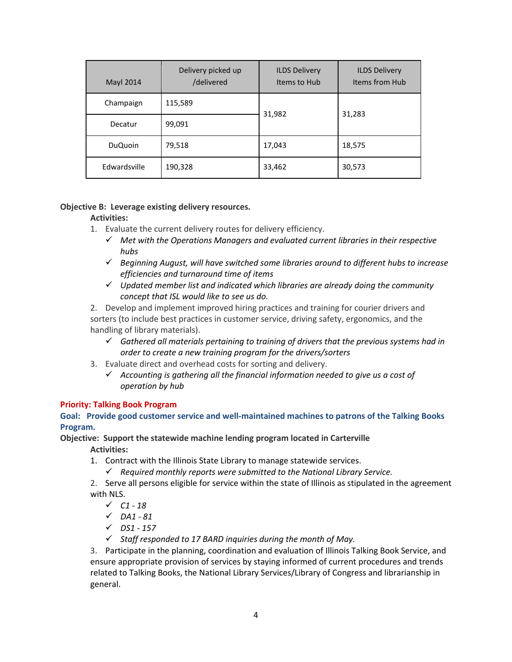| <b>Mayl 2014</b> | Delivery picked up<br>/delivered | <b>ILDS Delivery</b><br>Items to Hub | <b>ILDS Delivery</b><br>Items from Hub |  |
|------------------|----------------------------------|--------------------------------------|----------------------------------------|--|
| Champaign        | 115,589                          | 31,982                               | 31,283                                 |  |
| Decatur          | 99,091                           |                                      |                                        |  |
| <b>DuQuoin</b>   | 79,518                           | 17,043                               | 18,575                                 |  |
| Edwardsville     | 190,328                          | 33,462                               | 30,573                                 |  |

## **Objective B: Leverage existing delivery resources.**

#### **Activities:**

- 1. Evaluate the current delivery routes for delivery efficiency.
	- *Met with the Operations Managers and evaluated current libraries in their respective hubs*
	- *Beginning August, will have switched some libraries around to different hubs to increase efficiencies and turnaround time of items*
	- *Updated member list and indicated which libraries are already doing the community concept that ISL would like to see us do.*

2. Develop and implement improved hiring practices and training for courier drivers and sorters (to include best practices in customer service, driving safety, ergonomics, and the handling of library materials).

- *Gathered all materials pertaining to training of drivers that the previous systems had in order to create a new training program for the drivers/sorters*
- 3. Evaluate direct and overhead costs for sorting and delivery.
	- *Accounting is gathering all the financial information needed to give us a cost of operation by hub*

#### **Priority: Talking Book Program**

**Goal: Provide good customer service and well-maintained machines to patrons of the Talking Books Program.** 

## **Objective: Support the statewide machine lending program located in Carterville Activities:**

- 1. Contract with the Illinois State Library to manage statewide services.
	- *Required monthly reports were submitted to the National Library Service.*

2. Serve all persons eligible for service within the state of Illinois as stipulated in the agreement with NLS.

*C1 - 18*

- *DA1 - 81*
- *DS1 - 157*
- *Staff responded to 17 BARD inquiries during the month of May.*

3. Participate in the planning, coordination and evaluation of Illinois Talking Book Service, and ensure appropriate provision of services by staying informed of current procedures and trends related to Talking Books, the National Library Services/Library of Congress and librarianship in general.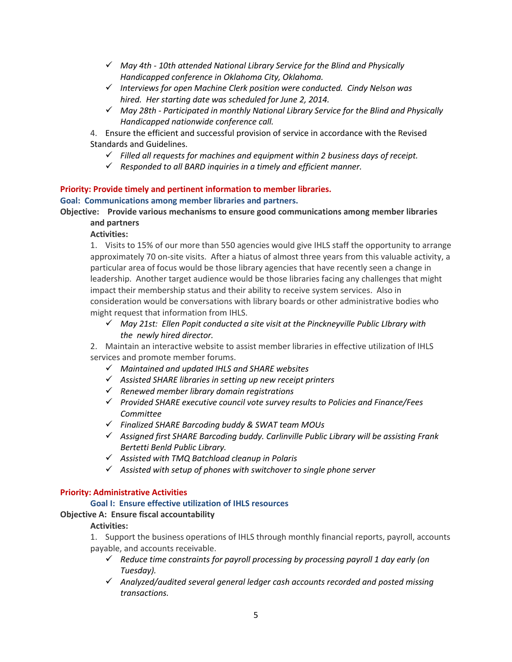- *May 4th - 10th attended National Library Service for the Blind and Physically Handicapped conference in Oklahoma City, Oklahoma.*
- *Interviews for open Machine Clerk position were conducted. Cindy Nelson was hired. Her starting date was scheduled for June 2, 2014.*
- *May 28th - Participated in monthly National Library Service for the Blind and Physically Handicapped nationwide conference call.*
- 4. Ensure the efficient and successful provision of service in accordance with the Revised Standards and Guidelines.
	- *Filled all requests for machines and equipment within 2 business days of receipt.*
	- *Responded to all BARD inquiries in a timely and efficient manner.*

# **Priority: Provide timely and pertinent information to member libraries.**

#### **Goal: Communications among member libraries and partners.**

**Objective: Provide various mechanisms to ensure good communications among member libraries and partners**

## **Activities:**

1. Visits to 15% of our more than 550 agencies would give IHLS staff the opportunity to arrange approximately 70 on-site visits. After a hiatus of almost three years from this valuable activity, a particular area of focus would be those library agencies that have recently seen a change in leadership. Another target audience would be those libraries facing any challenges that might impact their membership status and their ability to receive system services. Also in consideration would be conversations with library boards or other administrative bodies who might request that information from IHLS.

 *May 21st: Ellen Popit conducted a site visit at the Pinckneyville Public LIbrary with the newly hired director.*

2. Maintain an interactive website to assist member libraries in effective utilization of IHLS services and promote member forums.

- *Maintained and updated IHLS and SHARE websites*
- *Assisted SHARE libraries in setting up new receipt printers*
- *Renewed member library domain registrations*
- *Provided SHARE executive council vote survey results to Policies and Finance/Fees Committee*
- *Finalized SHARE Barcoding buddy & SWAT team MOUs*
- *Assigned first SHARE Barcoding buddy. Carlinville Public Library will be assisting Frank Bertetti Benld Public Library.*
- *Assisted with TMQ Batchload cleanup in Polaris*
- *Assisted with setup of phones with switchover to single phone server*

## **Priority: Administrative Activities**

## **Goal I: Ensure effective utilization of IHLS resources**

## **Objective A: Ensure fiscal accountability**

## **Activities:**

1. Support the business operations of IHLS through monthly financial reports, payroll, accounts payable, and accounts receivable.

- *Reduce time constraints for payroll processing by processing payroll 1 day early (on Tuesday).*
- *Analyzed/audited several general ledger cash accounts recorded and posted missing transactions.*